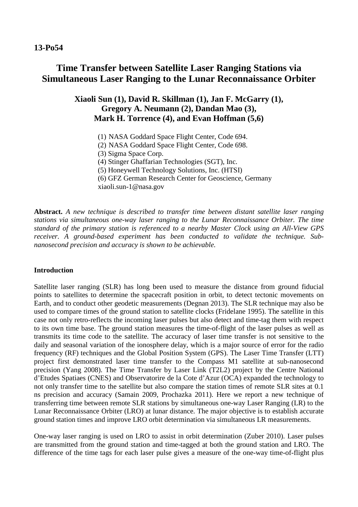# **13-Po54**

# **Time Transfer between Satellite Laser Ranging Stations via Simultaneous Laser Ranging to the Lunar Reconnaissance Orbiter**

# **Xiaoli Sun (1), David R. Skillman (1), Jan F. McGarry (1), Gregory A. Neumann (2), Dandan Mao (3), Mark H. Torrence (4), and Evan Hoffman (5,6)**

- (1) NASA Goddard Space Flight Center, Code 694.
- (2) NASA Goddard Space Flight Center, Code 698.
- (3) Sigma Space Corp.
- (4) Stinger Ghaffarian Technologies (SGT), Inc.
- (5) Honeywell Technology Solutions, Inc. (HTSI)
- (6) GFZ German Research Center for Geoscience, Germany xiaoli.sun-1@nasa.gov

**Abstract.** *A new technique is described to transfer time between distant satellite laser ranging stations via simultaneous one-way laser ranging to the Lunar Reconnaissance Orbiter. The time standard of the primary station is referenced to a nearby Master Clock using an All-View GPS receiver. A ground-based experiment has been conducted to validate the technique. Subnanosecond precision and accuracy is shown to be achievable.*

# **Introduction**

Satellite laser ranging (SLR) has long been used to measure the distance from ground fiducial points to satellites to determine the spacecraft position in orbit, to detect tectonic movements on Earth, and to conduct other geodetic measurements (Degnan 2013). The SLR technique may also be used to compare times of the ground station to satellite clocks (Fridelane 1995). The satellite in this case not only retro-reflects the incoming laser pulses but also detect and time-tag them with respect to its own time base. The ground station measures the time-of-flight of the laser pulses as well as transmits its time code to the satellite. The accuracy of laser time transfer is not sensitive to the daily and seasonal variation of the ionosphere delay, which is a major source of error for the radio frequency (RF) techniques and the Global Position System (GPS). The Laser Time Transfer (LTT) project first demonstrated laser time transfer to the Compass M1 satellite at sub-nanosecond precision (Yang 2008). The Time Transfer by Laser Link (T2L2) project by the Centre National d'Etudes Spatiaes (CNES) and Observatorire de la Cote d'Azur (OCA) expanded the technology to not only transfer time to the satellite but also compare the station times of remote SLR sites at 0.1 ns precision and accuracy (Samain 2009, Prochazka 2011). Here we report a new technique of transferring time between remote SLR stations by simultaneous one-way Laser Ranging (LR) to the Lunar Reconnaissance Orbiter (LRO) at lunar distance. The major objective is to establish accurate ground station times and improve LRO orbit determination via simultaneous LR measurements.

One-way laser ranging is used on LRO to assist in orbit determination (Zuber 2010). Laser pulses are transmitted from the ground station and time-tagged at both the ground station and LRO. The difference of the time tags for each laser pulse gives a measure of the one-way time-of-flight plus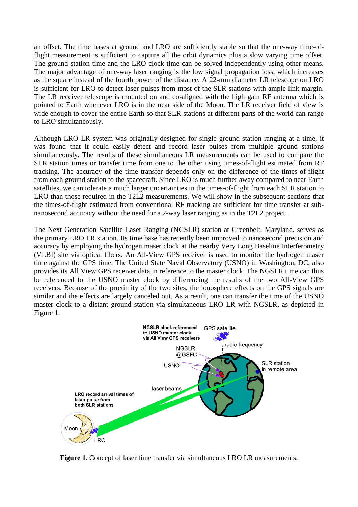an offset. The time bases at ground and LRO are sufficiently stable so that the one-way time-offlight measurement is sufficient to capture all the orbit dynamics plus a slow varying time offset. The ground station time and the LRO clock time can be solved independently using other means. The major advantage of one-way laser ranging is the low signal propagation loss, which increases as the square instead of the fourth power of the distance. A 22-mm diameter LR telescope on LRO is sufficient for LRO to detect laser pulses from most of the SLR stations with ample link margin. The LR receiver telescope is mounted on and co-aligned with the high gain RF antenna which is pointed to Earth whenever LRO is in the near side of the Moon. The LR receiver field of view is wide enough to cover the entire Earth so that SLR stations at different parts of the world can range to LRO simultaneously.

Although LRO LR system was originally designed for single ground station ranging at a time, it was found that it could easily detect and record laser pulses from multiple ground stations simultaneously. The results of these simultaneous LR measurements can be used to compare the SLR station times or transfer time from one to the other using times-of-flight estimated from RF tracking. The accuracy of the time transfer depends only on the difference of the times-of-flight from each ground station to the spacecraft. Since LRO is much further away compared to near Earth satellites, we can tolerate a much larger uncertainties in the times-of-flight from each SLR station to LRO than those required in the T2L2 measurements. We will show in the subsequent sections that the times-of-flight estimated from conventional RF tracking are sufficient for time transfer at subnanosecond accuracy without the need for a 2-way laser ranging as in the T2L2 project.

The Next Generation Satellite Laser Ranging (NGSLR) station at Greenbelt, Maryland, serves as the primary LRO LR station. Its time base has recently been improved to nanosecond precision and accuracy by employing the hydrogen maser clock at the nearby Very Long Baseline Interferometry (VLBI) site via optical fibers. An All-View GPS receiver is used to monitor the hydrogen maser time against the GPS time. The United State Naval Observatory (USNO) in Washington, DC, also provides its All View GPS receiver data in reference to the master clock. The NGSLR time can thus be referenced to the USNO master clock by differencing the results of the two All-View GPS receivers. Because of the proximity of the two sites, the ionosphere effects on the GPS signals are similar and the effects are largely canceled out. As a result, one can transfer the time of the USNO master clock to a distant ground station via simultaneous LRO LR with NGSLR, as depicted in Figure 1.



**Figure 1.** Concept of laser time transfer via simultaneous LRO LR measurements.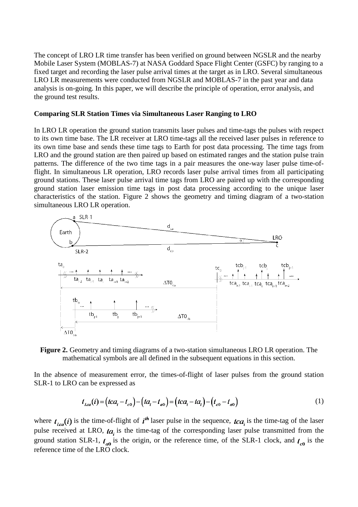The concept of LRO LR time transfer has been verified on ground between NGSLR and the nearby Mobile Laser System (MOBLAS-7) at NASA Goddard Space Flight Center (GSFC) by ranging to a fixed target and recording the laser pulse arrival times at the target as in LRO. Several simultaneous LRO LR measurements were conducted from NGSLR and MOBLAS-7 in the past year and data analysis is on-going. In this paper, we will describe the principle of operation, error analysis, and the ground test results.

#### **Comparing SLR Station Times via Simultaneous Laser Ranging to LRO**

In LRO LR operation the ground station transmits laser pulses and time-tags the pulses with respect to its own time base. The LR receiver at LRO time-tags all the received laser pulses in reference to its own time base and sends these time tags to Earth for post data processing. The time tags from LRO and the ground station are then paired up based on estimated ranges and the station pulse train patterns. The difference of the two time tags in a pair measures the one-way laser pulse time-offlight. In simultaneous LR operation, LRO records laser pulse arrival times from all participating ground stations. These laser pulse arrival time tags from LRO are paired up with the corresponding ground station laser emission time tags in post data processing according to the unique laser characteristics of the station. Figure 2 shows the geometry and timing diagram of a two-station simultaneous LRO LR operation.





In the absence of measurement error, the times-of-flight of laser pulses from the ground station SLR-1 to LRO can be expressed as

$$
t_{Lca}(i) = (tca_i - t_{c0}) - (ta_i - t_{a0}) = (tca_i - ta_i) - (t_{c0} - t_{a0})
$$
\n(1)

where  $t_{lca}(i)$  is the time-of-flight of  $i<sup>th</sup>$  laser pulse in the sequence,  $tca_i$  is the time-tag of the laser pulse received at LRO,  $ta$ , is the time-tag of the corresponding laser pulse transmitted from the ground station SLR-1,  $t_{on}$  is the origin, or the reference time, of the SLR-1 clock, and  $t_{on}$  is the reference time of the LRO clock.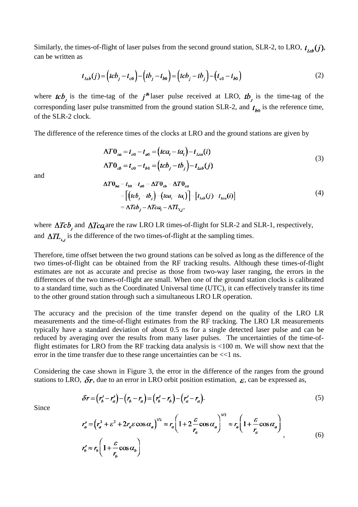Similarly, the times-of-flight of laser pulses from the second ground station, SLR-2, to LRO,  $t_{\text{tot}}(j)$ , can be written as

$$
t_{Leb}(j) = (tcb_j - t_{c0}) - (tb_j - t_{b0}) = (tcb_j - tb_j) - (t_{c0} - t_{b0})
$$
\n(2)

where  $\kappa b_j$  is the time-tag of the  $j^{\text{th}}$  laser pulse received at LRO,  $t b_j$  is the time-tag of the corresponding laser pulse transmitted from the ground station SLR-2, and  $t_{b0}$  is the reference time, of the SLR-2 clock.

The difference of the reference times of the clocks at LRO and the ground stations are given by

$$
\Delta T 0_{\alpha a} = t_{c0} - t_{a0} = (tca_i - ta_i) - t_{Lca}(i)
$$
  
\n
$$
\Delta T 0_{ab} = t_{c0} - t_{b0} = (tcb_j - tb_j) - t_{Lcb}(j)
$$
\n(3)

and

$$
\Delta T \theta_{ba} = t_{b0} - t_{a0} = \Delta T \theta_{cb} - \Delta T \theta_{ca}
$$
  
= 
$$
\left[ \left( tcb_j - tb_j \right) - \left( tca_i - ta_i \right) \right] - \left[ t_{Leb}(j) - t_{La}(i) \right]
$$
  
= 
$$
\Delta Tcb_j - \Delta Tca_i - \Delta T L_{ij}.
$$
 (4)

where  $\Delta Tcb_i$  and  $\Delta Tca_i$  are the raw LRO LR times-of-flight for SLR-2 and SLR-1, respectively, and  $\Delta T L_{i,i}$  is the difference of the two times-of-flight at the sampling times.

Therefore, time offset between the two ground stations can be solved as long as the difference of the two times-of-flight can be obtained from the RF tracking results. Although these times-of-flight estimates are not as accurate and precise as those from two-way laser ranging, the errors in the differences of the two times-of-flight are small. When one of the ground station clocks is calibrated to a standard time, such as the Coordinated Universal time (UTC), it can effectively transfer its time to the other ground station through such a simultaneous LRO LR operation.

The accuracy and the precision of the time transfer depend on the quality of the LRO LR measurements and the time-of-flight estimates from the RF tracking. The LRO LR measurements typically have a standard deviation of about 0.5 ns for a single detected laser pulse and can be reduced by averaging over the results from many laser pulses. The uncertainties of the time-offlight estimates for LRO from the RF tracking data analysis is <100 m. We will show next that the error in the time transfer due to these range uncertainties can be  $<<1$  ns.

Considering the case shown in Figure 3, the error in the difference of the ranges from the ground stations to LRO,  $\delta r$ , due to an error in LRO orbit position estimation,  $\epsilon$ , can be expressed as,

$$
\delta r = (r_b' - r_a') - (r_b - r_a) = (r_b' - r_b) - (r_a' - r_a). \tag{5}
$$

Since

$$
r_a' = (r_a^2 + \varepsilon^2 + 2r_a \varepsilon \cos \alpha_a)^{1/2} \approx r_a \left( 1 + 2 \frac{\varepsilon}{r_a} \cos \alpha_a \right)^{1/2} \approx r_a \left( 1 + \frac{\varepsilon}{r_a} \cos \alpha_a \right)
$$
  

$$
r_b' \approx r_b \left( 1 + \frac{\varepsilon}{r_b} \cos \alpha_b \right)
$$
 (6)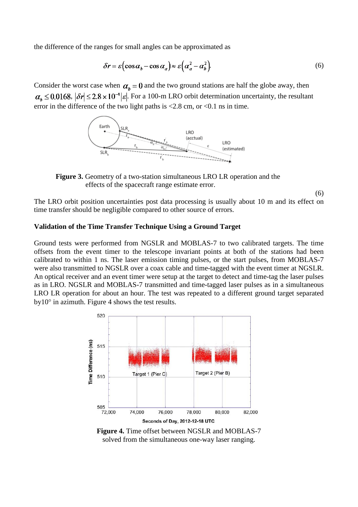the difference of the ranges for small angles can be approximated as

$$
\delta r = \varepsilon \left( \cos \alpha_b - \cos \alpha_a \right) \approx \varepsilon \left( \alpha_a^2 - \alpha_b^2 \right). \tag{6}
$$

Consider the worst case when  $\alpha_h = 0$  and the two ground stations are half the globe away, then  $\alpha_b \le 0.0168$ ,  $|\delta r| \le 2.8 \times 10^{-4} |\varepsilon|$ . For a 100-m LRO orbit determination uncertainty, the resultant error in the difference of the two light paths is  $\langle 2.8 \text{ cm}, \text{ or } \langle 0.1 \text{ ns in time.} \rangle$ 



**Figure 3.** Geometry of a two-station simultaneous LRO LR operation and the effects of the spacecraft range estimate error.

(6)

The LRO orbit position uncertainties post data processing is usually about 10 m and its effect on time transfer should be negligible compared to other source of errors.

# **Validation of the Time Transfer Technique Using a Ground Target**

Ground tests were performed from NGSLR and MOBLAS-7 to two calibrated targets. The time offsets from the event timer to the telescope invariant points at both of the stations had been calibrated to within 1 ns. The laser emission timing pulses, or the start pulses, from MOBLAS-7 were also transmitted to NGSLR over a coax cable and time-tagged with the event timer at NGSLR. An optical receiver and an event timer were setup at the target to detect and time-tag the laser pulses as in LRO. NGSLR and MOBLAS-7 transmitted and time-tagged laser pulses as in a simultaneous LRO LR operation for about an hour. The test was repeated to a different ground target separated  $by10^{\circ}$  in azimuth. Figure 4 shows the test results.



**Figure 4.** Time offset between NGSLR and MOBLAS-7 solved from the simultaneous one-way laser ranging.